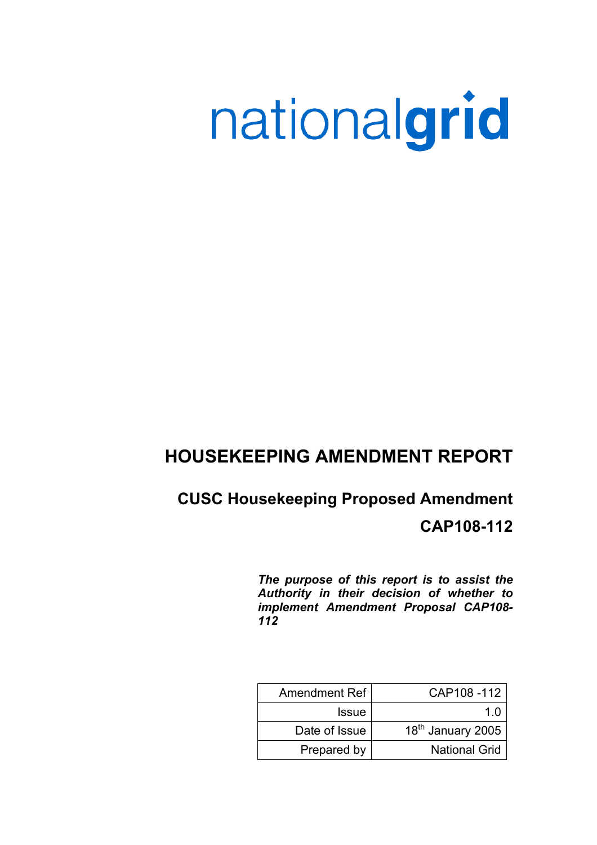# nationalgrid

# **HOUSEKEEPING AMENDMENT REPORT**

## **CUSC Housekeeping Proposed Amendment**

**CAP108-112** 

*The purpose of this report is to assist the Authority in their decision of whether to implement Amendment Proposal CAP108- 112* 

| <b>Amendment Ref</b> | CAP108-112                    |
|----------------------|-------------------------------|
| <b>Issue</b>         | 1 በ                           |
| Date of Issue        | 18 <sup>th</sup> January 2005 |
| Prepared by          | <b>National Grid</b>          |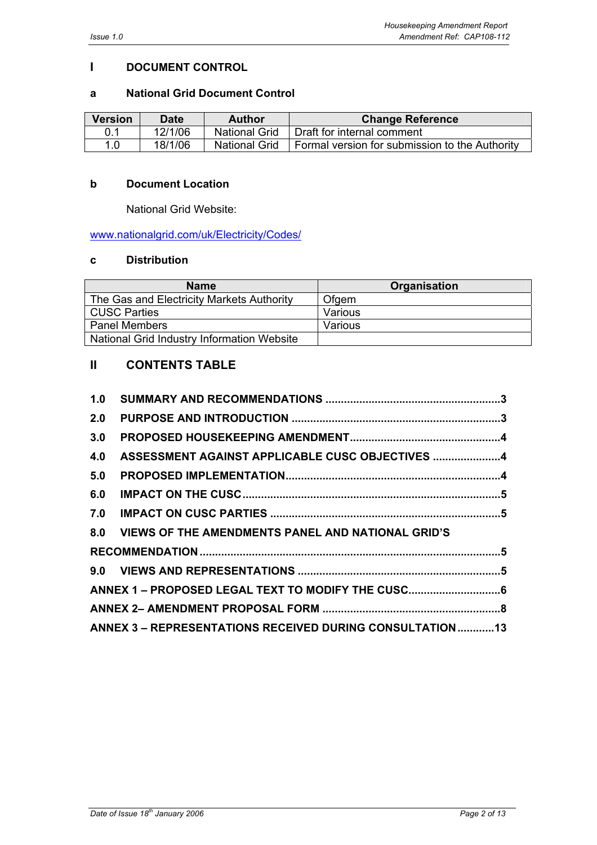## **I DOCUMENT CONTROL**

#### **a National Grid Document Control**

| <b>Version</b> | Date    | Author               | <b>Change Reference</b>                        |
|----------------|---------|----------------------|------------------------------------------------|
| 0.1            | 12/1/06 | <b>National Grid</b> | Draft for internal comment                     |
| 1.0            | 18/1/06 | <b>National Grid</b> | Formal version for submission to the Authority |

#### **b Document Location**

National Grid Website:

www.nationalgrid.com/uk/Electricity/Codes/

#### **c Distribution**

| <b>Name</b>                                | <b>Organisation</b> |
|--------------------------------------------|---------------------|
| The Gas and Electricity Markets Authority  | Ofgem               |
| <b>CUSC Parties</b>                        | Various             |
| <b>Panel Members</b>                       | Various             |
| National Grid Industry Information Website |                     |

## **II CONTENTS TABLE**

| 1.0 |                                                            |  |
|-----|------------------------------------------------------------|--|
| 2.0 |                                                            |  |
| 3.0 |                                                            |  |
| 4.0 | ASSESSMENT AGAINST APPLICABLE CUSC OBJECTIVES 4            |  |
| 5.0 |                                                            |  |
| 6.0 |                                                            |  |
| 7.0 |                                                            |  |
|     | 8.0 VIEWS OF THE AMENDMENTS PANEL AND NATIONAL GRID'S      |  |
|     |                                                            |  |
|     |                                                            |  |
|     |                                                            |  |
|     |                                                            |  |
|     | ANNEX 3 - REPRESENTATIONS RECEIVED DURING CONSULTATION  13 |  |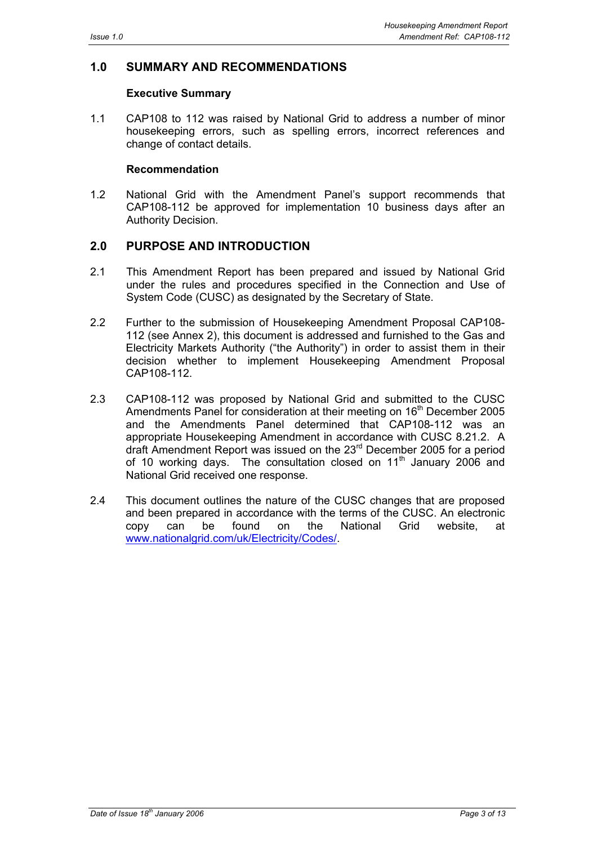#### **1.0 SUMMARY AND RECOMMENDATIONS**

#### **Executive Summary**

1.1 CAP108 to 112 was raised by National Grid to address a number of minor housekeeping errors, such as spelling errors, incorrect references and change of contact details.

#### **Recommendation**

1.2 National Grid with the Amendment Panel's support recommends that CAP108-112 be approved for implementation 10 business days after an Authority Decision.

## **2.0 PURPOSE AND INTRODUCTION**

- 2.1 This Amendment Report has been prepared and issued by National Grid under the rules and procedures specified in the Connection and Use of System Code (CUSC) as designated by the Secretary of State.
- 2.2 Further to the submission of Housekeeping Amendment Proposal CAP108- 112 (see Annex 2), this document is addressed and furnished to the Gas and Electricity Markets Authority ("the Authority") in order to assist them in their decision whether to implement Housekeeping Amendment Proposal CAP108-112.
- 2.3 CAP108-112 was proposed by National Grid and submitted to the CUSC Amendments Panel for consideration at their meeting on 16<sup>th</sup> December 2005 and the Amendments Panel determined that CAP108-112 was an appropriate Housekeeping Amendment in accordance with CUSC 8.21.2. A draft Amendment Report was issued on the 23rd December 2005 for a period of 10 working days. The consultation closed on  $11<sup>th</sup>$  January 2006 and National Grid received one response.
- 2.4 This document outlines the nature of the CUSC changes that are proposed and been prepared in accordance with the terms of the CUSC. An electronic copy can be found on the National Grid website, at www.nationalgrid.com/uk/Electricity/Codes/.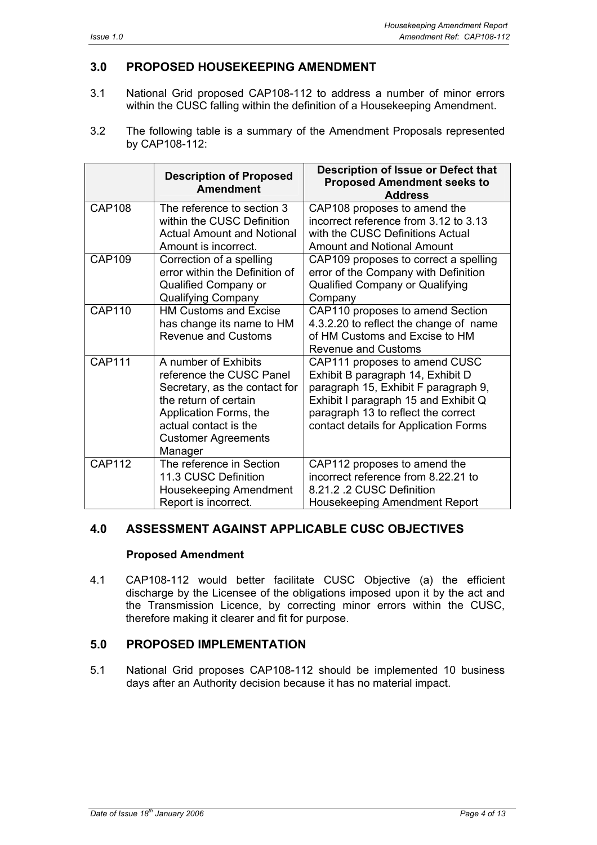## **3.0 PROPOSED HOUSEKEEPING AMENDMENT**

- 3.1 National Grid proposed CAP108-112 to address a number of minor errors within the CUSC falling within the definition of a Housekeeping Amendment.
- 3.2 The following table is a summary of the Amendment Proposals represented by CAP108-112:

|               | <b>Description of Proposed</b><br><b>Amendment</b>                                                                                                                                                     | Description of Issue or Defect that<br><b>Proposed Amendment seeks to</b><br><b>Address</b>                                                                                                                                        |
|---------------|--------------------------------------------------------------------------------------------------------------------------------------------------------------------------------------------------------|------------------------------------------------------------------------------------------------------------------------------------------------------------------------------------------------------------------------------------|
| <b>CAP108</b> | The reference to section 3<br>within the CUSC Definition<br><b>Actual Amount and Notional</b><br>Amount is incorrect.                                                                                  | CAP108 proposes to amend the<br>incorrect reference from 3.12 to 3.13<br>with the CUSC Definitions Actual<br><b>Amount and Notional Amount</b>                                                                                     |
| <b>CAP109</b> | Correction of a spelling<br>error within the Definition of<br>Qualified Company or<br><b>Qualifying Company</b>                                                                                        | CAP109 proposes to correct a spelling<br>error of the Company with Definition<br><b>Qualified Company or Qualifying</b><br>Company                                                                                                 |
| <b>CAP110</b> | <b>HM Customs and Excise</b><br>has change its name to HM<br><b>Revenue and Customs</b>                                                                                                                | CAP110 proposes to amend Section<br>4.3.2.20 to reflect the change of name<br>of HM Customs and Excise to HM<br><b>Revenue and Customs</b>                                                                                         |
| <b>CAP111</b> | A number of Exhibits<br>reference the CUSC Panel<br>Secretary, as the contact for<br>the return of certain<br>Application Forms, the<br>actual contact is the<br><b>Customer Agreements</b><br>Manager | CAP111 proposes to amend CUSC<br>Exhibit B paragraph 14, Exhibit D<br>paragraph 15, Exhibit F paragraph 9,<br>Exhibit I paragraph 15 and Exhibit Q<br>paragraph 13 to reflect the correct<br>contact details for Application Forms |
| <b>CAP112</b> | The reference in Section<br>11.3 CUSC Definition<br>Housekeeping Amendment<br>Report is incorrect.                                                                                                     | CAP112 proposes to amend the<br>incorrect reference from 8.22.21 to<br>8.21.2 .2 CUSC Definition<br>Housekeeping Amendment Report                                                                                                  |

#### **4.0 ASSESSMENT AGAINST APPLICABLE CUSC OBJECTIVES**

#### **Proposed Amendment**

4.1 CAP108-112 would better facilitate CUSC Objective (a) the efficient discharge by the Licensee of the obligations imposed upon it by the act and the Transmission Licence, by correcting minor errors within the CUSC, therefore making it clearer and fit for purpose.

#### **5.0 PROPOSED IMPLEMENTATION**

5.1 National Grid proposes CAP108-112 should be implemented 10 business days after an Authority decision because it has no material impact.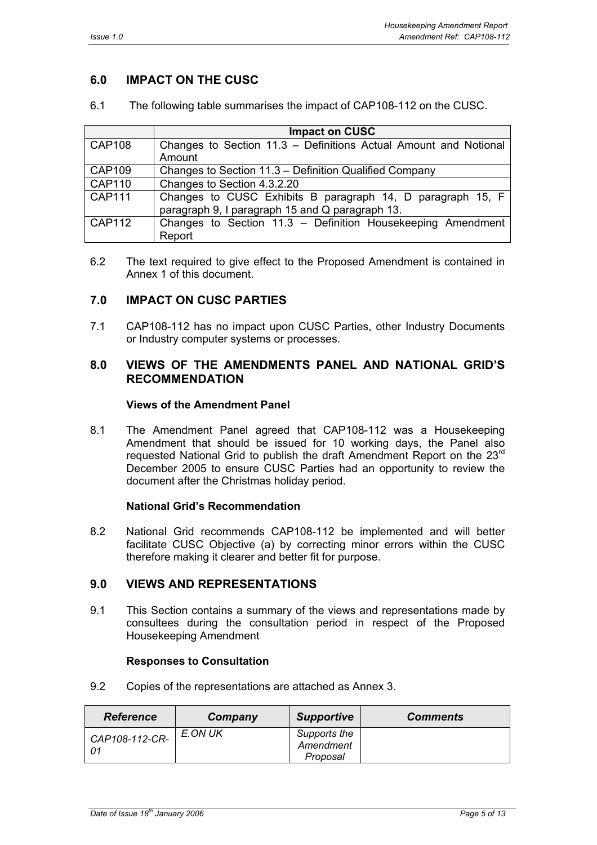## **6.0 IMPACT ON THE CUSC**

| The following table summarises the impact of CAP108-112 on the CUSC.<br>6.1 |  |
|-----------------------------------------------------------------------------|--|
|-----------------------------------------------------------------------------|--|

|               | <b>Impact on CUSC</b>                                            |
|---------------|------------------------------------------------------------------|
| <b>CAP108</b> | Changes to Section 11.3 - Definitions Actual Amount and Notional |
|               | Amount                                                           |
| <b>CAP109</b> | Changes to Section 11.3 – Definition Qualified Company           |
| <b>CAP110</b> | Changes to Section 4.3.2.20                                      |
| <b>CAP111</b> | Changes to CUSC Exhibits B paragraph 14, D paragraph 15, F       |
|               | paragraph 9, I paragraph 15 and Q paragraph 13.                  |
| CAP112        | Changes to Section 11.3 - Definition Housekeeping Amendment      |
|               | Report                                                           |

6.2 The text required to give effect to the Proposed Amendment is contained in Annex 1 of this document.

#### **7.0 IMPACT ON CUSC PARTIES**

7.1 CAP108-112 has no impact upon CUSC Parties, other Industry Documents or Industry computer systems or processes.

#### **8.0 VIEWS OF THE AMENDMENTS PANEL AND NATIONAL GRID'S RECOMMENDATION**

#### **Views of the Amendment Panel**

8.1 The Amendment Panel agreed that CAP108-112 was a Housekeeping Amendment that should be issued for 10 working days, the Panel also requested National Grid to publish the draft Amendment Report on the 23<sup>rd</sup> December 2005 to ensure CUSC Parties had an opportunity to review the document after the Christmas holiday period.

#### **National Grid's Recommendation**

8.2 National Grid recommends CAP108-112 be implemented and will better facilitate CUSC Objective (a) by correcting minor errors within the CUSC therefore making it clearer and better fit for purpose.

#### **9.0 VIEWS AND REPRESENTATIONS**

9.1 This Section contains a summary of the views and representations made by consultees during the consultation period in respect of the Proposed Housekeeping Amendment

#### **Responses to Consultation**

9.2 Copies of the representations are attached as Annex 3.

| <b>Reference</b> | Company | <b>Supportive</b>                     | <b>Comments</b> |
|------------------|---------|---------------------------------------|-----------------|
| CAP108-112-CR-   | E.ON UK | Supports the<br>Amendment<br>Proposal |                 |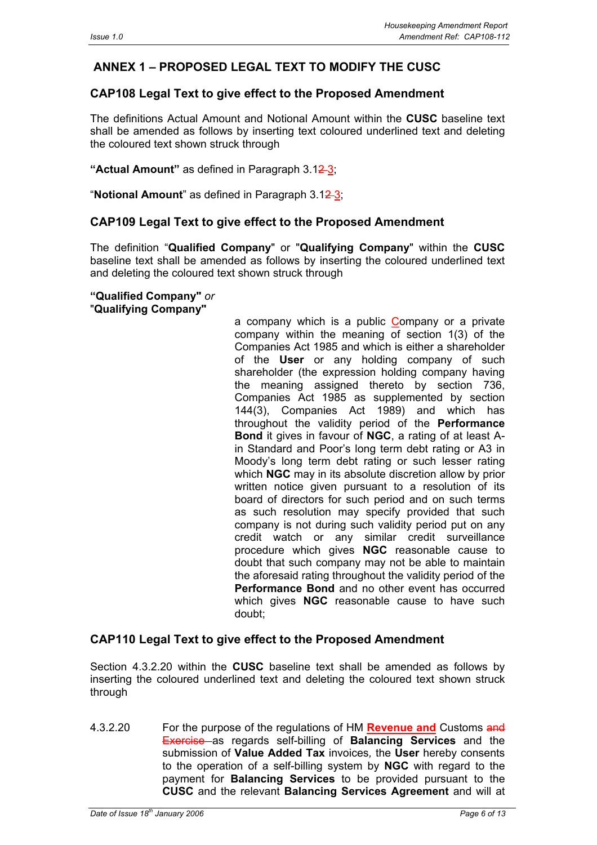## **ANNEX 1 – PROPOSED LEGAL TEXT TO MODIFY THE CUSC**

#### **CAP108 Legal Text to give effect to the Proposed Amendment**

The definitions Actual Amount and Notional Amount within the **CUSC** baseline text shall be amended as follows by inserting text coloured underlined text and deleting the coloured text shown struck through

**"Actual Amount"** as defined in Paragraph 3.12 3;

"**Notional Amount**" as defined in Paragraph 3.12 3;

#### **CAP109 Legal Text to give effect to the Proposed Amendment**

The definition "**Qualified Company**" or "**Qualifying Company**" within the **CUSC** baseline text shall be amended as follows by inserting the coloured underlined text and deleting the coloured text shown struck through

**"Qualified Company"** *or*  "**Qualifying Company"**

> a company which is a public Company or a private company within the meaning of section 1(3) of the Companies Act 1985 and which is either a shareholder of the **User** or any holding company of such shareholder (the expression holding company having the meaning assigned thereto by section 736, Companies Act 1985 as supplemented by section 144(3), Companies Act 1989) and which has throughout the validity period of the **Performance Bond** it gives in favour of **NGC**, a rating of at least Ain Standard and Poor's long term debt rating or A3 in Moody's long term debt rating or such lesser rating which **NGC** may in its absolute discretion allow by prior written notice given pursuant to a resolution of its board of directors for such period and on such terms as such resolution may specify provided that such company is not during such validity period put on any credit watch or any similar credit surveillance procedure which gives **NGC** reasonable cause to doubt that such company may not be able to maintain the aforesaid rating throughout the validity period of the **Performance Bond** and no other event has occurred which gives **NGC** reasonable cause to have such doubt;

#### **CAP110 Legal Text to give effect to the Proposed Amendment**

Section 4.3.2.20 within the **CUSC** baseline text shall be amended as follows by inserting the coloured underlined text and deleting the coloured text shown struck through

4.3.2.20 For the purpose of the regulations of HM **Revenue and** Customs and Exercise as regards self-billing of **Balancing Services** and the submission of **Value Added Tax** invoices*,* the **User** hereby consents to the operation of a self-billing system by **NGC** with regard to the payment for **Balancing Services** to be provided pursuant to the **CUSC** and the relevant **Balancing Services Agreement** and will at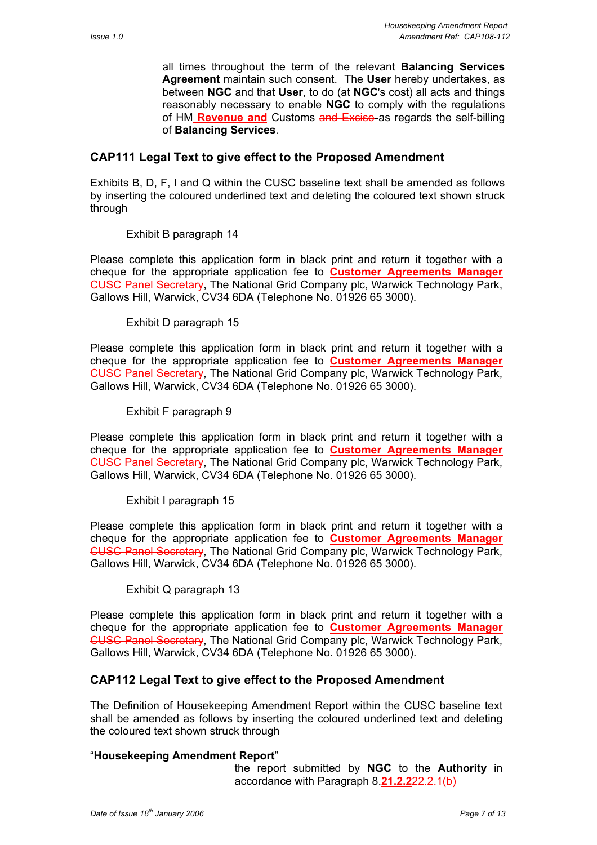all times throughout the term of the relevant **Balancing Services Agreement** maintain such consent. The **User** hereby undertakes, as between **NGC** and that **User**, to do (at **NGC**'s cost) all acts and things reasonably necessary to enable **NGC** to comply with the regulations of HM **Revenue and** Customs and Excise as regards the self-billing of **Balancing Services**.

#### **CAP111 Legal Text to give effect to the Proposed Amendment**

Exhibits B, D, F, I and Q within the CUSC baseline text shall be amended as follows by inserting the coloured underlined text and deleting the coloured text shown struck through

Exhibit B paragraph 14

Please complete this application form in black print and return it together with a cheque for the appropriate application fee to **Customer Agreements Manager** CUSC Panel Secretary, The National Grid Company plc, Warwick Technology Park, Gallows Hill, Warwick, CV34 6DA (Telephone No. 01926 65 3000).

Exhibit D paragraph 15

Please complete this application form in black print and return it together with a cheque for the appropriate application fee to **Customer Agreements Manager** CUSC Panel Secretary, The National Grid Company plc, Warwick Technology Park, Gallows Hill, Warwick, CV34 6DA (Telephone No. 01926 65 3000).

Exhibit F paragraph 9

Please complete this application form in black print and return it together with a cheque for the appropriate application fee to **Customer Agreements Manager** CUSC Panel Secretary, The National Grid Company plc, Warwick Technology Park, Gallows Hill, Warwick, CV34 6DA (Telephone No. 01926 65 3000).

Exhibit I paragraph 15

Please complete this application form in black print and return it together with a cheque for the appropriate application fee to **Customer Agreements Manager** CUSC Panel Secretary, The National Grid Company plc, Warwick Technology Park, Gallows Hill, Warwick, CV34 6DA (Telephone No. 01926 65 3000).

Exhibit Q paragraph 13

Please complete this application form in black print and return it together with a cheque for the appropriate application fee to **Customer Agreements Manager** CUSC Panel Secretary, The National Grid Company plc, Warwick Technology Park, Gallows Hill, Warwick, CV34 6DA (Telephone No. 01926 65 3000).

#### **CAP112 Legal Text to give effect to the Proposed Amendment**

The Definition of Housekeeping Amendment Report within the CUSC baseline text shall be amended as follows by inserting the coloured underlined text and deleting the coloured text shown struck through

#### "**Housekeeping Amendment Report**"

the report submitted by **NGC** to the **Authority** in accordance with Paragraph 8.**21.2.2**22.2.1(b)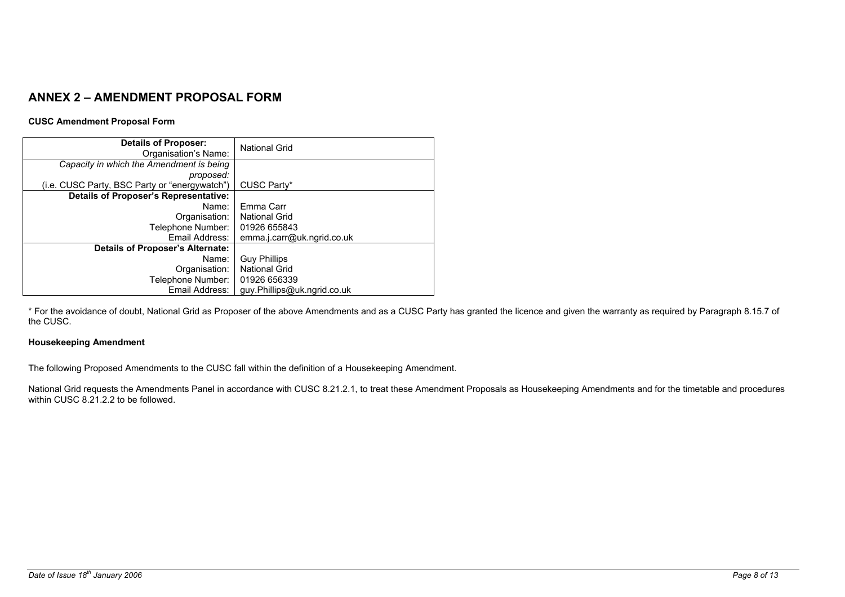## **ANNEX 2 – AMENDMENT PROPOSAL FORM**

#### **CUSC Amendment Proposal Form**

| <b>Details of Proposer:</b><br>Organisation's Name: | <b>National Grid</b>        |
|-----------------------------------------------------|-----------------------------|
| Capacity in which the Amendment is being            |                             |
| proposed:                                           |                             |
| (i.e. CUSC Party, BSC Party or "energywatch")       | CUSC Party*                 |
| Details of Proposer's Representative:               |                             |
| Name:                                               | Emma Carr                   |
| Organisation:                                       | <b>National Grid</b>        |
| Telephone Number:                                   | 01926 655843                |
| Email Address:                                      | emma.j.carr@uk.ngrid.co.uk  |
| <b>Details of Proposer's Alternate:</b>             |                             |
| Name:                                               | <b>Guy Phillips</b>         |
| Organisation:                                       | <b>National Grid</b>        |
| Telephone Number:                                   | 01926 656339                |
| Email Address:                                      | guy.Phillips@uk.ngrid.co.uk |

\* For the avoidance of doubt, National Grid as Proposer of the above Amendments and as a CUSC Party has granted the licence and given the warranty as required by Paragraph 8.15.7 of the CUSC.

#### **Housekeeping Amendment**

The following Proposed Amendments to the CUSC fall within the definition of a Housekeeping Amendment.

National Grid requests the Amendments Panel in accordance with CUSC 8.21.2.1, to treat these Amendment Proposals as Housekeeping Amendments and for the timetable and procedures within CUSC 8.21.2.2 to be followed.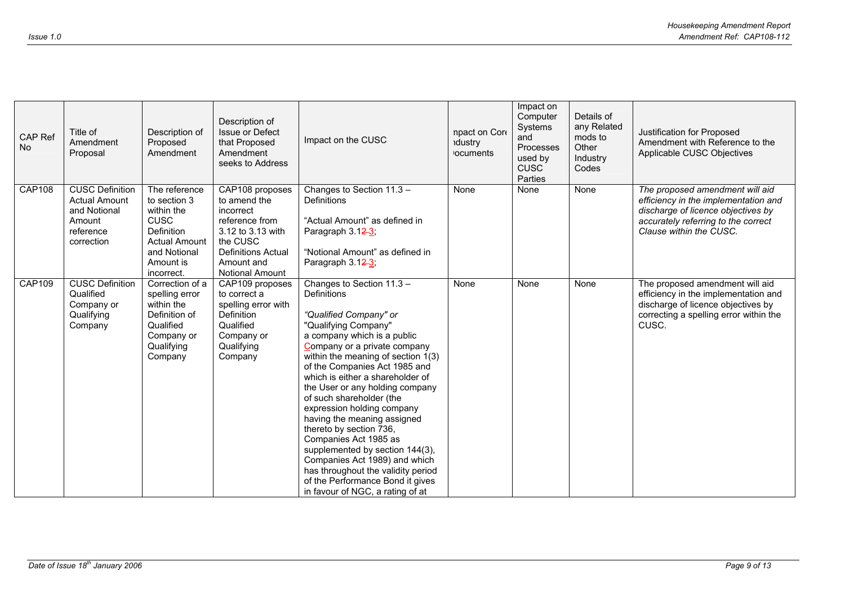| CAP Ref<br><b>No</b> | Title of<br>Amendment<br>Proposal                                                                   | Description of<br>Proposed<br>Amendment                                                                                                     | Description of<br><b>Issue or Defect</b><br>that Proposed<br>Amendment<br>seeks to Address                                                                    | Impact on the CUSC                                                                                                                                                                                                                                                                                                                                                                                                                                                                                                                                                                                                                            | npact on Core<br>dustry<br><b>ocuments</b> | Impact on<br>Computer<br>Systems<br>and<br>Processes<br>used by<br><b>CUSC</b><br>Parties | Details of<br>any Related<br>mods to<br>Other<br>Industry<br>Codes | Justification for Proposed<br>Amendment with Reference to the<br>Applicable CUSC Objectives                                                                                     |
|----------------------|-----------------------------------------------------------------------------------------------------|---------------------------------------------------------------------------------------------------------------------------------------------|---------------------------------------------------------------------------------------------------------------------------------------------------------------|-----------------------------------------------------------------------------------------------------------------------------------------------------------------------------------------------------------------------------------------------------------------------------------------------------------------------------------------------------------------------------------------------------------------------------------------------------------------------------------------------------------------------------------------------------------------------------------------------------------------------------------------------|--------------------------------------------|-------------------------------------------------------------------------------------------|--------------------------------------------------------------------|---------------------------------------------------------------------------------------------------------------------------------------------------------------------------------|
| <b>CAP108</b>        | <b>CUSC Definition</b><br><b>Actual Amount</b><br>and Notional<br>Amount<br>reference<br>correction | The reference<br>to section 3<br>within the<br><b>CUSC</b><br>Definition<br><b>Actual Amount</b><br>and Notional<br>Amount is<br>incorrect. | CAP108 proposes<br>to amend the<br>incorrect<br>reference from<br>3.12 to 3.13 with<br>the CUSC<br><b>Definitions Actual</b><br>Amount and<br>Notional Amount | Changes to Section 11.3 -<br><b>Definitions</b><br>"Actual Amount" as defined in<br>Paragraph 3.12-3;<br>"Notional Amount" as defined in<br>Paragraph 3.12-3;                                                                                                                                                                                                                                                                                                                                                                                                                                                                                 | None                                       | None                                                                                      | None                                                               | The proposed amendment will aid<br>efficiency in the implementation and<br>discharge of licence objectives by<br>accurately referring to the correct<br>Clause within the CUSC. |
| <b>CAP109</b>        | <b>CUSC Definition</b><br>Qualified<br>Company or<br>Qualifying<br>Company                          | Correction of a<br>spelling error<br>within the<br>Definition of<br>Qualified<br>Company or<br>Qualifying<br>Company                        | CAP109 proposes<br>to correct a<br>spelling error with<br><b>Definition</b><br>Qualified<br>Company or<br>Qualifying<br>Company                               | Changes to Section 11.3 -<br><b>Definitions</b><br>"Qualified Company" or<br>"Qualifying Company"<br>a company which is a public<br>Company or a private company<br>within the meaning of section 1(3)<br>of the Companies Act 1985 and<br>which is either a shareholder of<br>the User or any holding company<br>of such shareholder (the<br>expression holding company<br>having the meaning assigned<br>thereto by section 736,<br>Companies Act 1985 as<br>supplemented by section 144(3),<br>Companies Act 1989) and which<br>has throughout the validity period<br>of the Performance Bond it gives<br>in favour of NGC, a rating of at | None                                       | None                                                                                      | None                                                               | The proposed amendment will aid<br>efficiency in the implementation and<br>discharge of licence objectives by<br>correcting a spelling error within the<br>CUSC.                |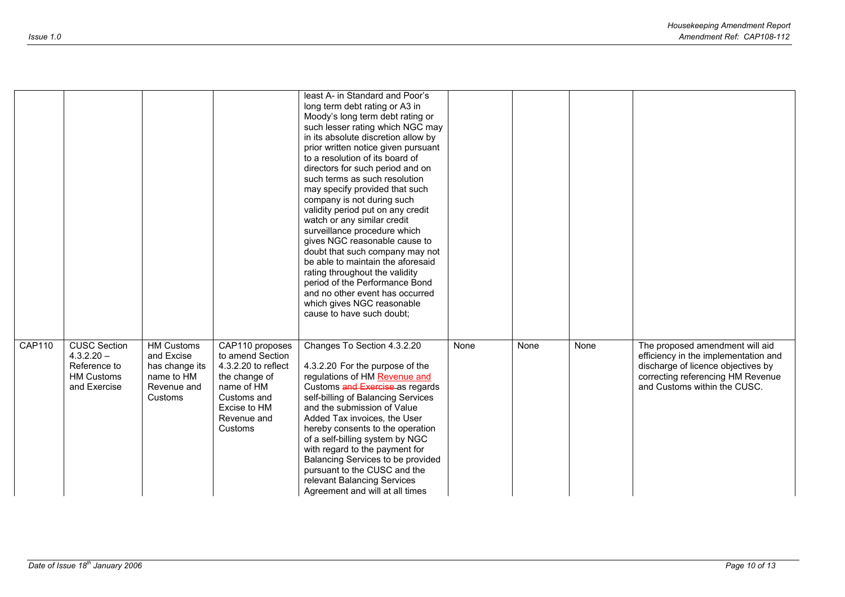|               |                                                                                          |                                                                                           |                                                                                                                                                    | least A- in Standard and Poor's<br>long term debt rating or A3 in<br>Moody's long term debt rating or<br>such lesser rating which NGC may<br>in its absolute discretion allow by<br>prior written notice given pursuant<br>to a resolution of its board of<br>directors for such period and on<br>such terms as such resolution<br>may specify provided that such<br>company is not during such<br>validity period put on any credit<br>watch or any similar credit<br>surveillance procedure which<br>gives NGC reasonable cause to<br>doubt that such company may not<br>be able to maintain the aforesaid<br>rating throughout the validity<br>period of the Performance Bond<br>and no other event has occurred<br>which gives NGC reasonable<br>cause to have such doubt; |      |      |      |                                                                                                                                                                                    |
|---------------|------------------------------------------------------------------------------------------|-------------------------------------------------------------------------------------------|----------------------------------------------------------------------------------------------------------------------------------------------------|--------------------------------------------------------------------------------------------------------------------------------------------------------------------------------------------------------------------------------------------------------------------------------------------------------------------------------------------------------------------------------------------------------------------------------------------------------------------------------------------------------------------------------------------------------------------------------------------------------------------------------------------------------------------------------------------------------------------------------------------------------------------------------|------|------|------|------------------------------------------------------------------------------------------------------------------------------------------------------------------------------------|
| <b>CAP110</b> | <b>CUSC Section</b><br>$4.3.2.20 -$<br>Reference to<br><b>HM Customs</b><br>and Exercise | <b>HM Customs</b><br>and Excise<br>has change its<br>name to HM<br>Revenue and<br>Customs | CAP110 proposes<br>to amend Section<br>4.3.2.20 to reflect<br>the change of<br>name of HM<br>Customs and<br>Excise to HM<br>Revenue and<br>Customs | Changes To Section 4.3.2.20<br>4.3.2.20 For the purpose of the<br>regulations of HM Revenue and<br>Customs and Exercise as regards<br>self-billing of Balancing Services<br>and the submission of Value<br>Added Tax invoices, the User<br>hereby consents to the operation<br>of a self-billing system by NGC<br>with regard to the payment for<br>Balancing Services to be provided<br>pursuant to the CUSC and the<br>relevant Balancing Services<br>Agreement and will at all times                                                                                                                                                                                                                                                                                        | None | None | None | The proposed amendment will aid<br>efficiency in the implementation and<br>discharge of licence objectives by<br>correcting referencing HM Revenue<br>and Customs within the CUSC. |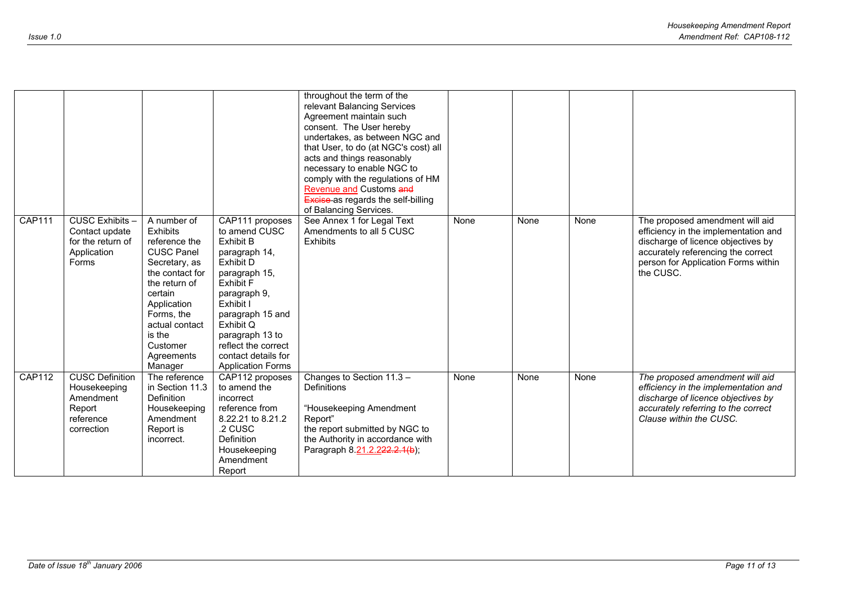|               |                                                                                          |                                                                                                                                                                                                                                    |                                                                                                                                                                                                                                                                             | throughout the term of the<br>relevant Balancing Services<br>Agreement maintain such<br>consent. The User hereby<br>undertakes, as between NGC and<br>that User, to do (at NGC's cost) all<br>acts and things reasonably<br>necessary to enable NGC to<br>comply with the regulations of HM<br>Revenue and Customs and<br><b>Excise as regards the self-billing</b><br>of Balancing Services. |      |      |      |                                                                                                                                                                                                         |
|---------------|------------------------------------------------------------------------------------------|------------------------------------------------------------------------------------------------------------------------------------------------------------------------------------------------------------------------------------|-----------------------------------------------------------------------------------------------------------------------------------------------------------------------------------------------------------------------------------------------------------------------------|-----------------------------------------------------------------------------------------------------------------------------------------------------------------------------------------------------------------------------------------------------------------------------------------------------------------------------------------------------------------------------------------------|------|------|------|---------------------------------------------------------------------------------------------------------------------------------------------------------------------------------------------------------|
| <b>CAP111</b> | CUSC Exhibits -<br>Contact update<br>for the return of<br>Application<br>Forms           | A number of<br><b>Exhibits</b><br>reference the<br><b>CUSC Panel</b><br>Secretary, as<br>the contact for<br>the return of<br>certain<br>Application<br>Forms, the<br>actual contact<br>is the<br>Customer<br>Agreements<br>Manager | CAP111 proposes<br>to amend CUSC<br>Exhibit B<br>paragraph 14,<br>Exhibit D<br>paragraph 15,<br><b>Exhibit F</b><br>paragraph 9,<br>Exhibit I<br>paragraph 15 and<br>Exhibit Q<br>paragraph 13 to<br>reflect the correct<br>contact details for<br><b>Application Forms</b> | See Annex 1 for Legal Text<br>Amendments to all 5 CUSC<br>Exhibits                                                                                                                                                                                                                                                                                                                            | None | None | None | The proposed amendment will aid<br>efficiency in the implementation and<br>discharge of licence objectives by<br>accurately referencing the correct<br>person for Application Forms within<br>the CUSC. |
| <b>CAP112</b> | <b>CUSC Definition</b><br>Housekeeping<br>Amendment<br>Report<br>reference<br>correction | The reference<br>in Section 11.3<br><b>Definition</b><br>Housekeeping<br>Amendment<br>Report is<br>incorrect.                                                                                                                      | CAP112 proposes<br>to amend the<br>incorrect<br>reference from<br>8.22.21 to 8.21.2<br>.2 CUSC<br>Definition<br>Housekeeping<br>Amendment<br>Report                                                                                                                         | Changes to Section 11.3 -<br>Definitions<br>"Housekeeping Amendment<br>Report"<br>the report submitted by NGC to<br>the Authority in accordance with<br>Paragraph 8.21.2.222.2.1(b);                                                                                                                                                                                                          | None | None | None | The proposed amendment will aid<br>efficiency in the implementation and<br>discharge of licence objectives by<br>accurately referring to the correct<br>Clause within the CUSC.                         |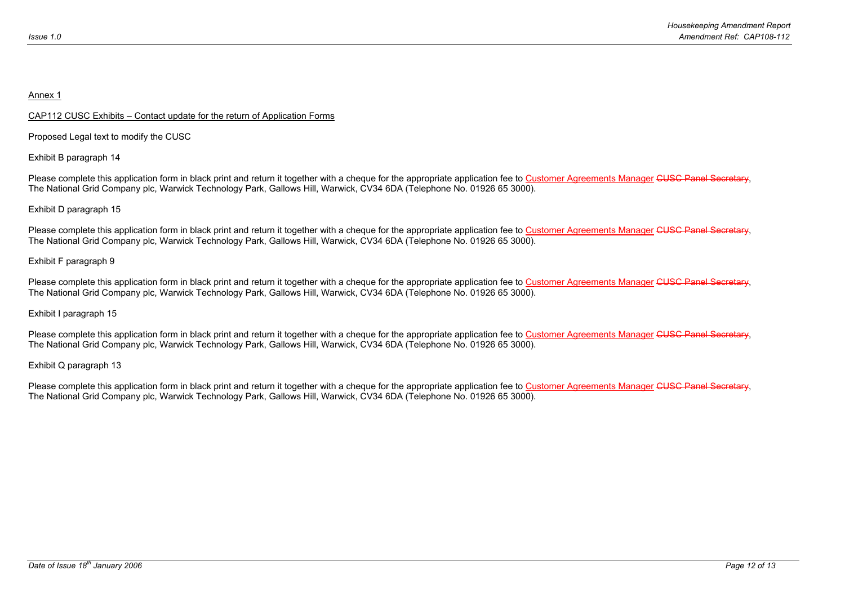#### Annex 1

#### CAP112 CUSC Exhibits – Contact update for the return of Application Forms

Proposed Legal text to modify the CUSC

Exhibit B paragraph 14

Please complete this application form in black print and return it together with a cheque for the appropriate application fee to Customer Agreements Manager CUSC Panel Secretary, The National Grid Company plc, Warwick Technology Park, Gallows Hill, Warwick, CV34 6DA (Telephone No. 01926 65 3000).

#### Exhibit D paragraph 15

Please complete this application form in black print and return it together with a cheque for the appropriate application fee to Customer Agreements Manager CUSC Panel Secretary, The National Grid Company plc, Warwick Technology Park, Gallows Hill, Warwick, CV34 6DA (Telephone No. 01926 65 3000).

#### Exhibit F paragraph 9

Please complete this application form in black print and return it together with a cheque for the appropriate application fee to Customer Agreements Manager CUSC Panel Secretary, The National Grid Company plc, Warwick Technology Park, Gallows Hill, Warwick, CV34 6DA (Telephone No. 01926 65 3000).

#### Exhibit I paragraph 15

Please complete this application form in black print and return it together with a cheque for the appropriate application fee to Customer Agreements Manager CUSC Panel Secretary, The National Grid Company plc, Warwick Technology Park, Gallows Hill, Warwick, CV34 6DA (Telephone No. 01926 65 3000).

Exhibit Q paragraph 13

Please complete this application form in black print and return it together with a cheque for the appropriate application fee to Customer Agreements Manager CUSC Panel Secretary, The National Grid Company plc, Warwick Technology Park, Gallows Hill, Warwick, CV34 6DA (Telephone No. 01926 65 3000).